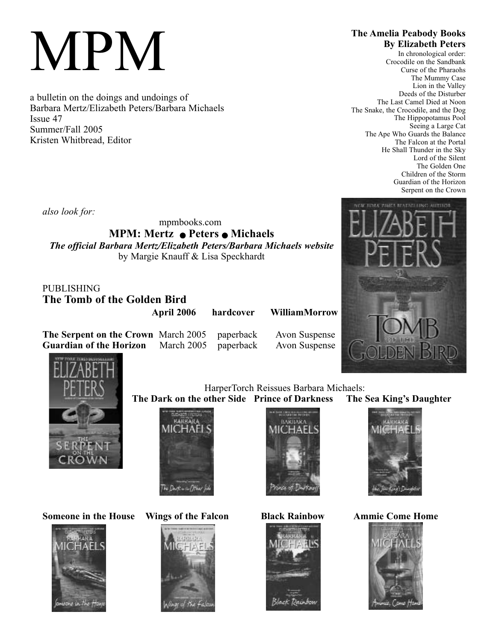# MPM

a bulletin on the doings and undoings of Barbara Mertz/Elizabeth Peters/Barbara Michaels Issue 47 Summer/Fall 2005 Kristen Whitbread, Editor

# **The Amelia Peabody Books By Elizabeth Peters**

In chronological order: Crocodile on the Sandbank Curse of the Pharaohs The Mummy Case Lion in the Valley Deeds of the Disturber The Last Camel Died at Noon The Snake, the Crocodile, and the Dog The Hippopotamus Pool Seeing a Large Cat The Ape Who Guards the Balance The Falcon at the Portal He Shall Thunder in the Sky Lord of the Silent The Golden One Children of the Storm Guardian of the Horizon Serpent on the Crown

**UNCLAITUOR** 

*also look for:*

mpmbooks.com

**MPM: Mertz • Peters • Michaels** *The official Barbara Mertz/Elizabeth Peters/Barbara Michaels website* by Margie Knauff & Lisa Speckhardt

PUBLISHING

**The Tomb of the Golden Bird** 

**April 2006 hardcover WilliamMorrow**

**The Serpent on the Crown** March 2005 paperback Avon Suspense **Guardian of the Horizon** March 2005 paperback Avon Suspense



**Someone in the House Wings of the Falcon Black Rainbow Ammie Come Home**





FAL DWR = 16/7/1





HarperTorch Reissues Barbara Michaels:





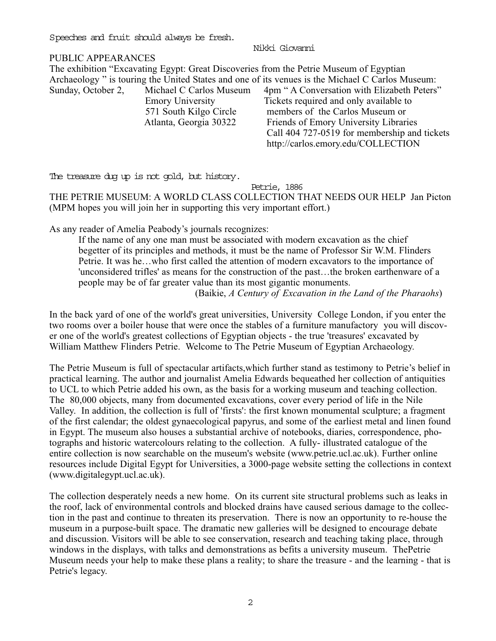Speeches and fruit should always be fresh.

Nikki Giovanni

## PUBLIC APPEARANCES

The exhibition "Excavating Egypt: Great Discoveries from the Petrie Museum of Egyptian Archaeology " is touring the United States and one of its venues is the Michael C Carlos Museum: Sunday, October 2, Michael C Carlos Museum 4pm " A Conversation with Elizabeth Peters" Emory University Tickets required and only available to 571 South Kilgo Circle members of the Carlos Museum or Atlanta, Georgia 30322 Friends of Emory University Libraries Call 404 727-0519 for membership and tickets http://carlos.emory.edu/COLLECTION

The treasure dug up is not gold, but history.

Petrie, 1886

THE PETRIE MUSEUM: A WORLD CLASS COLLECTION THAT NEEDS OUR HELP Jan Picton (MPM hopes you will join her in supporting this very important effort.)

As any reader of Amelia Peabody's journals recognizes:

If the name of any one man must be associated with modern excavation as the chief begetter of its principles and methods, it must be the name of Professor Sir W.M. Flinders Petrie. It was he…who first called the attention of modern excavators to the importance of 'unconsidered trifles' as means for the construction of the past…the broken earthenware of a people may be of far greater value than its most gigantic monuments.

(Baikie, *A Century of Excavation in the Land of the Pharaohs*)

In the back yard of one of the world's great universities, University College London, if you enter the two rooms over a boiler house that were once the stables of a furniture manufactory you will discover one of the world's greatest collections of Egyptian objects - the true 'treasures' excavated by William Matthew Flinders Petrie. Welcome to The Petrie Museum of Egyptian Archaeology.

The Petrie Museum is full of spectacular artifacts,which further stand as testimony to Petrie's belief in practical learning. The author and journalist Amelia Edwards bequeathed her collection of antiquities to UCL to which Petrie added his own, as the basis for a working museum and teaching collection. The 80,000 objects, many from documented excavations, cover every period of life in the Nile Valley. In addition, the collection is full of 'firsts': the first known monumental sculpture; a fragment of the first calendar; the oldest gynaecological papyrus, and some of the earliest metal and linen found in Egypt. The museum also houses a substantial archive of notebooks, diaries, correspondence, photographs and historic watercolours relating to the collection. A fully- illustrated catalogue of the entire collection is now searchable on the museum's website (www.petrie.ucl.ac.uk). Further online resources include Digital Egypt for Universities, a 3000-page website setting the collections in context (www.digitalegypt.ucl.ac.uk).

The collection desperately needs a new home. On its current site structural problems such as leaks in the roof, lack of environmental controls and blocked drains have caused serious damage to the collection in the past and continue to threaten its preservation. There is now an opportunity to re-house the museum in a purpose-built space. The dramatic new galleries will be designed to encourage debate and discussion. Visitors will be able to see conservation, research and teaching taking place, through windows in the displays, with talks and demonstrations as befits a university museum. ThePetrie Museum needs your help to make these plans a reality; to share the treasure - and the learning - that is Petrie's legacy.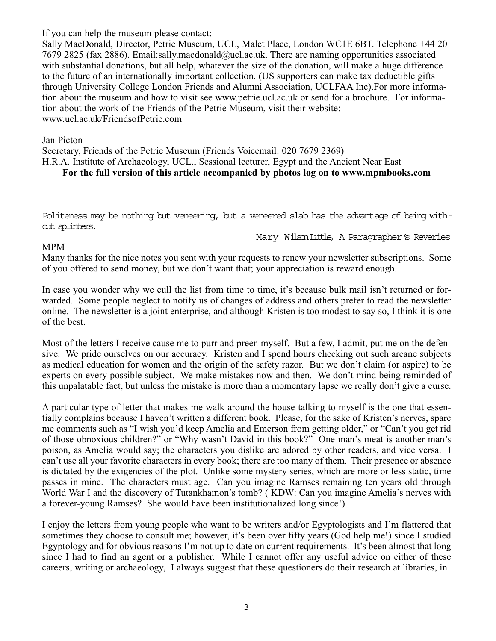If you can help the museum please contact:

Sally MacDonald, Director, Petrie Museum, UCL, Malet Place, London WC1E 6BT. Telephone +44 20 7679 2825 (fax 2886). Email:sally.macdonald@ucl.ac.uk. There are naming opportunities associated with substantial donations, but all help, whatever the size of the donation, will make a huge difference to the future of an internationally important collection. (US supporters can make tax deductible gifts through University College London Friends and Alumni Association, UCLFAA Inc).For more information about the museum and how to visit see www.petrie.ucl.ac.uk or send for a brochure. For information about the work of the Friends of the Petrie Museum, visit their website: www.ucl.ac.uk/FriendsofPetrie.com

### Jan Picton

Secretary, Friends of the Petrie Museum (Friends Voicemail: 020 7679 2369) H.R.A. Institute of Archaeology, UCL., Sessional lecturer, Egypt and the Ancient Near East **For the full version of this article accompanied by photos log on to www.mpmbooks.com**

Politeness may be nothing but veneering, but a veneered slab has the advantage of being without splinters.

Mary Wilson Little, A Paragrapher's Reveries

### MPM

Many thanks for the nice notes you sent with your requests to renew your newsletter subscriptions. Some of you offered to send money, but we don't want that; your appreciation is reward enough.

In case you wonder why we cull the list from time to time, it's because bulk mail isn't returned or forwarded. Some people neglect to notify us of changes of address and others prefer to read the newsletter online. The newsletter is a joint enterprise, and although Kristen is too modest to say so, I think it is one of the best.

Most of the letters I receive cause me to purr and preen myself. But a few, I admit, put me on the defensive. We pride ourselves on our accuracy. Kristen and I spend hours checking out such arcane subjects as medical education for women and the origin of the safety razor. But we don't claim (or aspire) to be experts on every possible subject. We make mistakes now and then. We don't mind being reminded of this unpalatable fact, but unless the mistake is more than a momentary lapse we really don't give a curse.

A particular type of letter that makes me walk around the house talking to myself is the one that essentially complains because I haven't written a different book. Please, for the sake of Kristen's nerves, spare me comments such as "I wish you'd keep Amelia and Emerson from getting older," or "Can't you get rid of those obnoxious children?" or "Why wasn't David in this book?" One man's meat is another man's poison, as Amelia would say; the characters you dislike are adored by other readers, and vice versa. I can't use all your favorite characters in every book; there are too many of them. Their presence or absence is dictated by the exigencies of the plot. Unlike some mystery series, which are more or less static, time passes in mine. The characters must age. Can you imagine Ramses remaining ten years old through World War I and the discovery of Tutankhamon's tomb? ( KDW: Can you imagine Amelia's nerves with a forever-young Ramses? She would have been institutionalized long since!)

I enjoy the letters from young people who want to be writers and/or Egyptologists and I'm flattered that sometimes they choose to consult me; however, it's been over fifty years (God help me!) since I studied Egyptology and for obvious reasons I'm not up to date on current requirements. It's been almost that long since I had to find an agent or a publisher. While I cannot offer any useful advice on either of these careers, writing or archaeology, I always suggest that these questioners do their research at libraries, in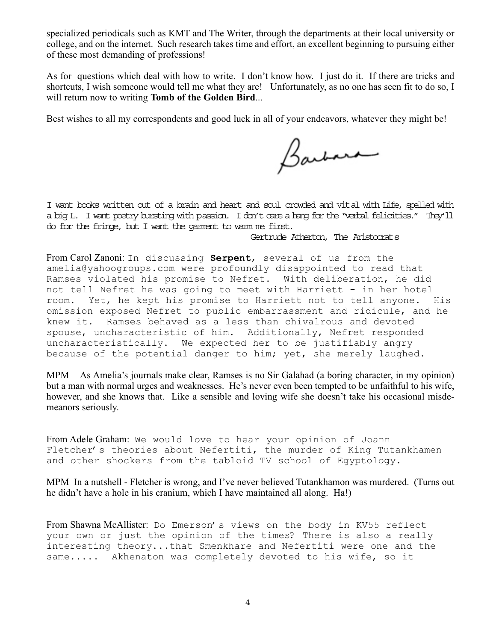specialized periodicals such as KMT and The Writer, through the departments at their local university or college, and on the internet. Such research takes time and effort, an excellent beginning to pursuing either of these most demanding of professions!

As for questions which deal with how to write. I don't know how. I just do it. If there are tricks and shortcuts, I wish someone would tell me what they are! Unfortunately, as no one has seen fit to do so, I will return now to writing **Tomb of the Golden Bird**...

Best wishes to all my correspondents and good luck in all of your endeavors, whatever they might be!

Barbara

I want books written out of a brain and heart and soul crowded and vital with Life, spelled with a big L. I want poetry bursting with passion. I don't care a hang for the "verbal felicities." They'll do for the fringe, but I want the garment to warm me first.

## Gertrude Atherton, The Aristocrats

From Carol Zanoni: In discussing **Serpent**, several of us from the amelia@yahoogroups.com were profoundly disappointed to read that Ramses violated his promise to Nefret. With deliberation, he did not tell Nefret he was going to meet with Harriett - in her hotel room. Yet, he kept his promise to Harriett not to tell anyone. His omission exposed Nefret to public embarrassment and ridicule, and he knew it. Ramses behaved as a less than chivalrous and devoted spouse, uncharacteristic of him. Additionally, Nefret responded uncharacteristically. We expected her to be justifiably angry because of the potential danger to him; yet, she merely laughed.

MPM As Amelia's journals make clear, Ramses is no Sir Galahad (a boring character, in my opinion) but a man with normal urges and weaknesses. He's never even been tempted to be unfaithful to his wife, however, and she knows that. Like a sensible and loving wife she doesn't take his occasional misdemeanors seriously.

From Adele Graham: We would love to hear your opinion of Joann Fletcher's theories about Nefertiti, the murder of King Tutankhamen and other shockers from the tabloid TV school of Egyptology.

MPM In a nutshell - Fletcher is wrong, and I've never believed Tutankhamon was murdered. (Turns out he didn't have a hole in his cranium, which I have maintained all along. Ha!)

From Shawna McAllister: Do Emerson's views on the body in KV55 reflect your own or just the opinion of the times? There is also a really interesting theory...that Smenkhare and Nefertiti were one and the same..... Akhenaton was completely devoted to his wife, so it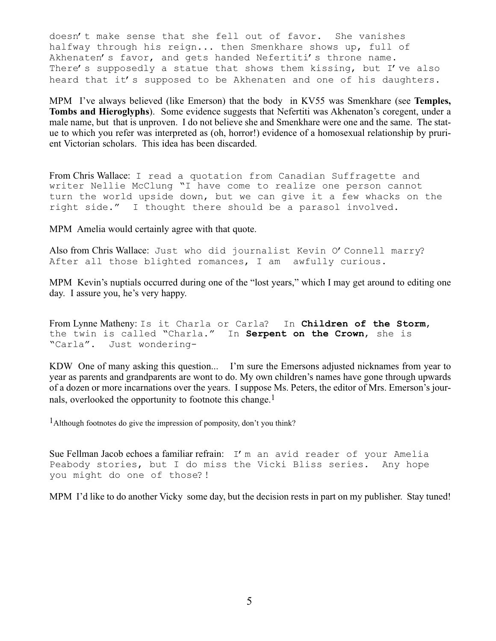doesn't make sense that she fell out of favor. She vanishes halfway through his reign... then Smenkhare shows up, full of Akhenaten's favor, and gets handed Nefertiti's throne name. There's supposedly a statue that shows them kissing, but I've also heard that it's supposed to be Akhenaten and one of his daughters.

MPM I've always believed (like Emerson) that the body in KV55 was Smenkhare (see **Temples, Tombs and Hieroglyphs**). Some evidence suggests that Nefertiti was Akhenaton's coregent, under a male name, but that is unproven. I do not believe she and Smenkhare were one and the same. The statue to which you refer was interpreted as (oh, horror!) evidence of a homosexual relationship by prurient Victorian scholars. This idea has been discarded.

From Chris Wallace: I read a quotation from Canadian Suffragette and writer Nellie McClung "I have come to realize one person cannot turn the world upside down, but we can give it a few whacks on the right side." I thought there should be a parasol involved.

MPM Amelia would certainly agree with that quote.

Also from Chris Wallace: Just who did journalist Kevin O'Connell marry? After all those blighted romances, I am awfully curious.

MPM Kevin's nuptials occurred during one of the "lost years," which I may get around to editing one day. I assure you, he's very happy.

From Lynne Matheny: Is it Charla or Carla? In **Children of the Storm**, the twin is called "Charla." In **Serpent on the Crown**, she is "Carla". Just wondering-

KDW One of many asking this question... I'm sure the Emersons adjusted nicknames from year to year as parents and grandparents are wont to do. My own children's names have gone through upwards of a dozen or more incarnations over the years. I suppose Ms. Peters, the editor of Mrs. Emerson's journals, overlooked the opportunity to footnote this change.<sup>1</sup>

<sup>1</sup>Although footnotes do give the impression of pomposity, don't you think?

Sue Fellman Jacob echoes a familiar refrain: I'm an avid reader of your Amelia Peabody stories, but I do miss the Vicki Bliss series. Any hope you might do one of those?!

MPM I'd like to do another Vicky some day, but the decision rests in part on my publisher. Stay tuned!